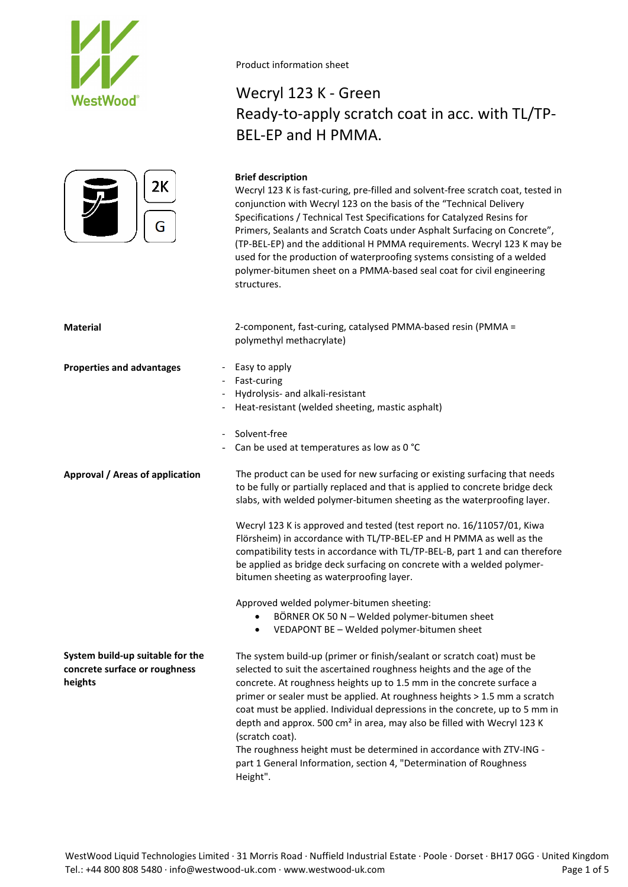



# Wecryl 123 K - Green Ready-to-apply scratch coat in acc. with TL/TP-BEL-EP and H PMMA.

# **Brief description**

Wecryl 123 K is fast-curing, pre-filled and solvent-free scratch coat, tested in conjunction with Wecryl 123 on the basis of the "Technical Delivery Specifications / Technical Test Specifications for Catalyzed Resins for Primers, Sealants and Scratch Coats under Asphalt Surfacing on Concrete", (TP-BEL-EP) and the additional H PMMA requirements. Wecryl 123 K may be used for the production of waterproofing systems consisting of a welded polymer-bitumen sheet on a PMMA-based seal coat for civil engineering structures.

**Material** 2-component, fast-curing, catalysed PMMA-based resin (PMMA = polymethyl methacrylate) **Properties and advantages** - Easy to apply Fast-curing - Hydrolysis- and alkali-resistant Heat-resistant (welded sheeting, mastic asphalt) Solvent-free Can be used at temperatures as low as 0 °C **Approval / Areas of application System build-up suitable for the concrete surface or roughness heights** The product can be used for new surfacing or existing surfacing that needs to be fully or partially replaced and that is applied to concrete bridge deck slabs, with welded polymer-bitumen sheeting as the waterproofing layer. Wecryl 123 K is approved and tested (test report no. 16/11057/01, Kiwa Flörsheim) in accordance with TL/TP-BEL-EP and H PMMA as well as the compatibility tests in accordance with TL/TP-BEL-B, part 1 and can therefore be applied as bridge deck surfacing on concrete with a welded polymerbitumen sheeting as waterproofing layer. Approved welded polymer-bitumen sheeting: • BÖRNER OK 50 N – Welded polymer-bitumen sheet • VEDAPONT BE – Welded polymer-bitumen sheet The system build-up (primer or finish/sealant or scratch coat) must be selected to suit the ascertained roughness heights and the age of the concrete. At roughness heights up to 1.5 mm in the concrete surface a primer or sealer must be applied. At roughness heights > 1.5 mm a scratch coat must be applied. Individual depressions in the concrete, up to 5 mm in depth and approx. 500 cm² in area, may also be filled with Wecryl 123 K (scratch coat). The roughness height must be determined in accordance with ZTV-ING -

part 1 General Information, section 4, "Determination of Roughness Height".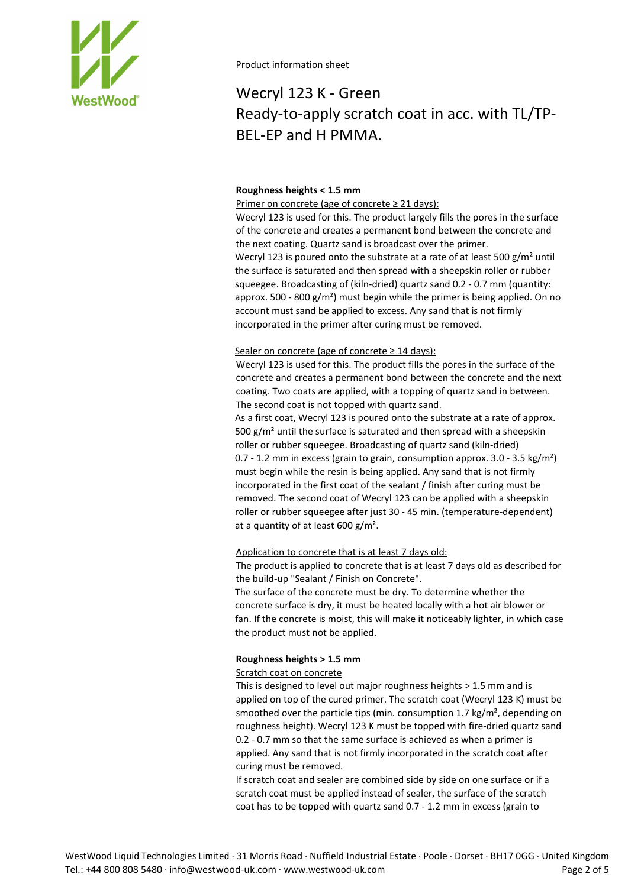

# Wecryl 123 K - Green Ready-to-apply scratch coat in acc. with TL/TP-BEL-EP and H PMMA.

# **Roughness heights < 1.5 mm**

Primer on concrete (age of concrete ≥ 21 days):

Wecryl 123 is used for this. The product largely fills the pores in the surface of the concrete and creates a permanent bond between the concrete and the next coating. Quartz sand is broadcast over the primer. Wecryl 123 is poured onto the substrate at a rate of at least 500 g/m<sup>2</sup> until the surface is saturated and then spread with a sheepskin roller or rubber squeegee. Broadcasting of (kiln-dried) quartz sand 0.2 - 0.7 mm (quantity: approx. 500 - 800  $g/m<sup>2</sup>$ ) must begin while the primer is being applied. On no account must sand be applied to excess. Any sand that is not firmly incorporated in the primer after curing must be removed.

# Sealer on concrete (age of concrete  $\geq$  14 days):

Wecryl 123 is used for this. The product fills the pores in the surface of the concrete and creates a permanent bond between the concrete and the next coating. Two coats are applied, with a topping of quartz sand in between. The second coat is not topped with quartz sand.

As a first coat, Wecryl 123 is poured onto the substrate at a rate of approx. 500 g/m² until the surface is saturated and then spread with a sheepskin roller or rubber squeegee. Broadcasting of quartz sand (kiln-dried) 0.7 - 1.2 mm in excess (grain to grain, consumption approx. 3.0 - 3.5 kg/m²) must begin while the resin is being applied. Any sand that is not firmly incorporated in the first coat of the sealant / finish after curing must be removed. The second coat of Wecryl 123 can be applied with a sheepskin roller or rubber squeegee after just 30 - 45 min. (temperature-dependent) at a quantity of at least 600 g/m².

# Application to concrete that is at least 7 days old:

The product is applied to concrete that is at least 7 days old as described for the build-up "Sealant / Finish on Concrete".

The surface of the concrete must be dry. To determine whether the concrete surface is dry, it must be heated locally with a hot air blower or fan. If the concrete is moist, this will make it noticeably lighter, in which case the product must not be applied.

# **Roughness heights > 1.5 mm**

# Scratch coat on concrete

This is designed to level out major roughness heights > 1.5 mm and is applied on top of the cured primer. The scratch coat (Wecryl 123 K) must be smoothed over the particle tips (min. consumption 1.7 kg/m<sup>2</sup>, depending on roughness height). Wecryl 123 K must be topped with fire-dried quartz sand 0.2 - 0.7 mm so that the same surface is achieved as when a primer is applied. Any sand that is not firmly incorporated in the scratch coat after curing must be removed.

If scratch coat and sealer are combined side by side on one surface or if a scratch coat must be applied instead of sealer, the surface of the scratch coat has to be topped with quartz sand 0.7 - 1.2 mm in excess (grain to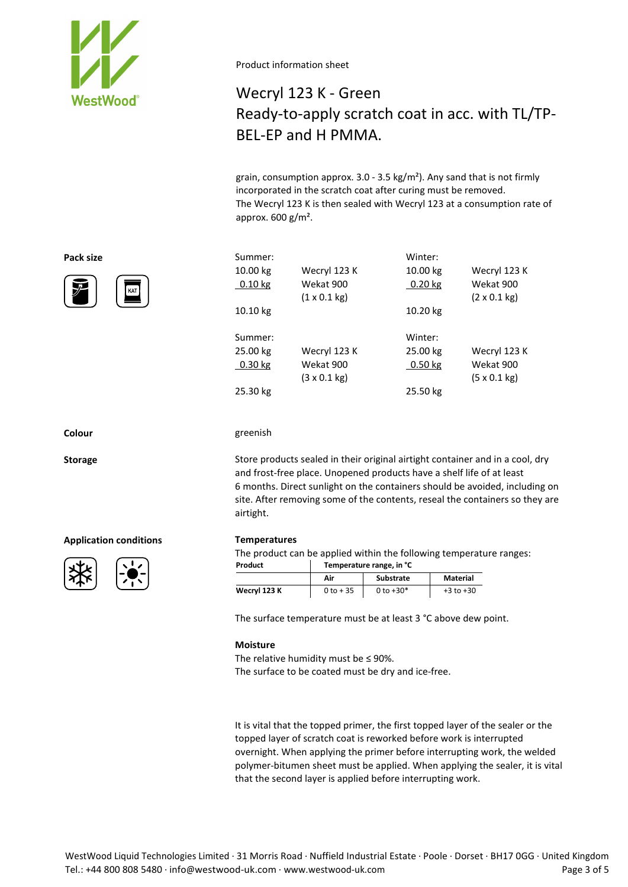

# Wecryl 123 K - Green Ready-to-apply scratch coat in acc. with TL/TP-BEL-EP and H PMMA.

grain, consumption approx.  $3.0 - 3.5 \text{ kg/m}^2$ ). Any sand that is not firmly incorporated in the scratch coat after curing must be removed. The Wecryl 123 K is then sealed with Wecryl 123 at a consumption rate of approx.  $600 g/m^2$ .

| Pack size | Summer:   |                             | Winter:   |                             |
|-----------|-----------|-----------------------------|-----------|-----------------------------|
|           | 10.00 kg  | Wecryl 123 K                | 10.00 kg  | Wecryl 123 K                |
| ア<br>KAT  | $0.10$ kg | Wekat 900                   | 0.20 kg   | Wekat 900                   |
|           |           | $(1 \times 0.1 \text{ kg})$ |           | $(2 \times 0.1 \text{ kg})$ |
|           | 10.10 kg  |                             | 10.20 kg  |                             |
|           | Summer:   |                             | Winter:   |                             |
|           | 25.00 kg  | Wecryl 123 K                | 25.00 kg  | Wecryl 123 K                |
|           | $0.30$ kg | Wekat 900                   | $0.50$ kg | Wekat 900                   |
|           |           | $(3 \times 0.1 \text{ kg})$ |           | $(5 \times 0.1 \text{ kg})$ |
|           | 25.30 kg  |                             | 25.50 kg  |                             |



#### **Colour** greenish

**Storage** Store products sealed in their original airtight container and in a cool, dry and frost-free place. Unopened products have a shelf life of at least 6 months. Direct sunlight on the containers should be avoided, including on site. After removing some of the contents, reseal the containers so they are airtight.

#### **Application conditions Temperatures**





The product can be applied within the following temperature ranges: **Product Temperature range, in °C**

|              | Air         | Substrate   | Material      |
|--------------|-------------|-------------|---------------|
| Wecryl 123 K | $0$ to + 35 | 0 to $+30*$ | $+3$ to $+30$ |

The surface temperature must be at least 3 °C above dew point.

#### **Moisture**

The relative humidity must be  $\leq$  90%. The surface to be coated must be dry and ice-free.

It is vital that the topped primer, the first topped layer of the sealer or the topped layer of scratch coat is reworked before work is interrupted overnight. When applying the primer before interrupting work, the welded polymer-bitumen sheet must be applied. When applying the sealer, it is vital that the second layer is applied before interrupting work.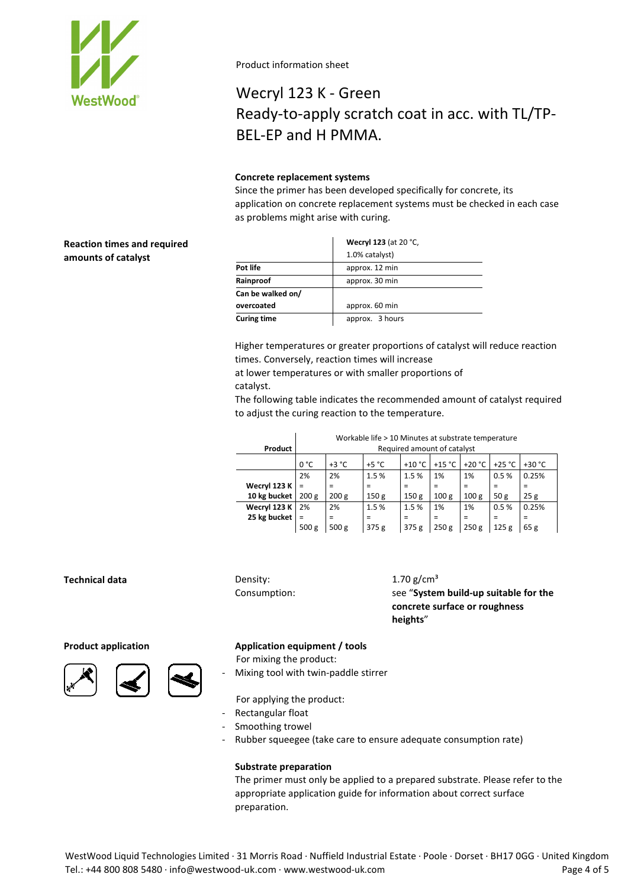

# Wecryl 123 K - Green Ready-to-apply scratch coat in acc. with TL/TP-BEL-EP and H PMMA.

# **Concrete replacement systems**

Since the primer has been developed specifically for concrete, its application on concrete replacement systems must be checked in each case as problems might arise with curing.

# **Reaction times and required amounts of catalyst**

|                    | Wecryl 123 (at 20 °C, |
|--------------------|-----------------------|
|                    | 1.0% catalyst)        |
| Pot life           | approx. 12 min        |
| Rainproof          | approx. 30 min        |
| Can be walked on/  |                       |
| overcoated         | approx. 60 min        |
| <b>Curing time</b> | approx. 3 hours       |

Higher temperatures or greater proportions of catalyst will reduce reaction times. Conversely, reaction times will increase

at lower temperatures or with smaller proportions of catalyst.

The following table indicates the recommended amount of catalyst required to adjust the curing reaction to the temperature.

|              | Workable life > 10 Minutes at substrate temperature |                  |                  |                  |                  |                  |                  |          |
|--------------|-----------------------------------------------------|------------------|------------------|------------------|------------------|------------------|------------------|----------|
| Product      | Required amount of catalyst                         |                  |                  |                  |                  |                  |                  |          |
|              | 0 °C                                                | $+3 °C$          | $+5 °C$          | $+10 °C$         | +15 $^{\circ}$ C | $+20 °C$         | $+25 °C$         | $+30 °C$ |
|              | 2%                                                  | 2%               | 1.5%             | 1.5%             | 1%               | 1%               | 0.5%             | 0.25%    |
| Wecryl 123 K | $\equiv$                                            | Ξ                | $=$              | =                | Ξ                | $=$              | Ξ                | =        |
| 10 kg bucket | 200 <sub>g</sub>                                    | 200 g            | 150 <sub>g</sub> | 150 <sub>g</sub> | 100 <sub>g</sub> | 100 <sub>g</sub> | 50 g             | 25g      |
| Wecryl 123 K | 2%                                                  | 2%               | 1.5%             | 1.5%             | 1%               | 1%               | 0.5%             | 0.25%    |
| 25 kg bucket | $\equiv$                                            | $=$              | $=$              | =                | Ξ                | $=$              | $\equiv$         | =        |
|              | 500 <sub>g</sub>                                    | 500 <sub>g</sub> | 375 <sub>g</sub> | 375 <sub>g</sub> | 250g             | 250g             | 125 <sub>g</sub> | 65g      |

# **Technical data** Density:

Consumption:

 $1.70$  g/cm<sup>3</sup> see "**System build-up suitable for the concrete surface or roughness heights**"





### **Product application Application equipment / tools**

For mixing the product:

- Mixing tool with twin-paddle stirrer

For applying the product:

- Rectangular float
- Smoothing trowel
- Rubber squeegee (take care to ensure adequate consumption rate)

# **Substrate preparation**

The primer must only be applied to a prepared substrate. Please refer to the appropriate application guide for information about correct surface preparation.

WestWood Liquid Technologies Limited · 31 Morris Road · Nuffield Industrial Estate · Poole · Dorset · BH17 0GG · United Kingdom Tel.: +44 800 808 5480 · info@westwood-uk.com · www.westwood-uk.com example are seen to the Page 4 of 5